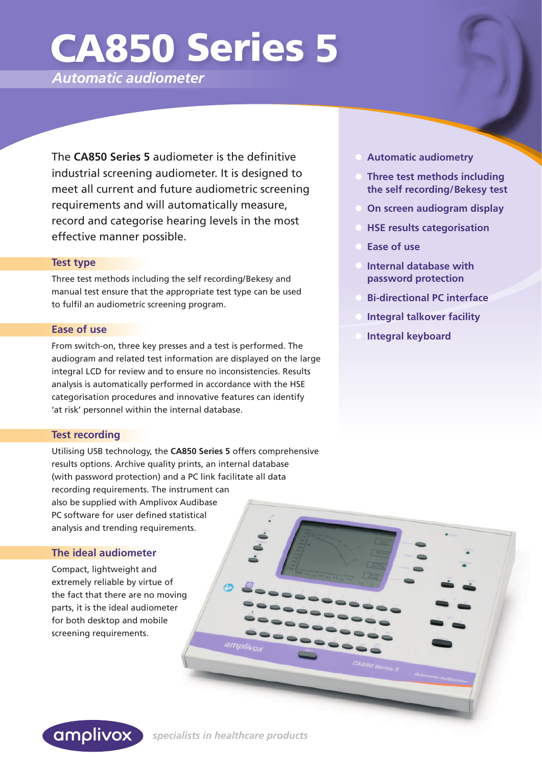# CA850 Series 5

*Automatic audiometer*

The **CA850 Series 5** audiometer is the definitive industrial screening audiometer. It is designed to meet all current and future audiometric screening requirements and will automatically measure, record and categorise hearing levels in the most effective manner possible.

### **Test type**

Three test methods including the self recording/Bekesy and manual test ensure that the appropriate test type can be used to fulfil an audiometric screening program.

### **Ease of use**

From switch-on, three key presses and a test is performed. The audiogram and related test information are displayed on the large integral LCD for review and to ensure no inconsistencies. Results analysis is automatically performed in accordance with the HSE categorisation procedures and innovative features can identify 'at risk' personnel within the internal database.

## **Test recording**

Utilising USB technology, the **CA850 Series 5** offers comprehensive results options. Archive quality prints, an internal database (with password protection) and a PC link facilitate all data recording requirements. The instrument can also be supplied with Amplivox Audibase PC software for user defined statistical analysis and trending requirements.

# **The ideal audiometer**

Compact, lightweight and extremely reliable by virtue of the fact that there are no moving parts, it is the ideal audiometer for both desktop and mobile screening requirements.



 $\bullet$ 

- **Automatic audiometry**
- **Three test methods including the self recording/Bekesy test**
- **On screen audiogram display**
- **HSE results categorisation**
- **Ease of use**
- **Internal database with password protection**
- **Bi-directional PC interface**
- **Integral talkover facility**
- **Integral keyboard**